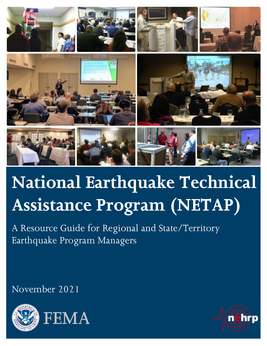

# **National Earthquake Technical Assistance Program (NETAP)**

A Resource Guide for Regional and State/Territory Earthquake Program Managers

November 2021



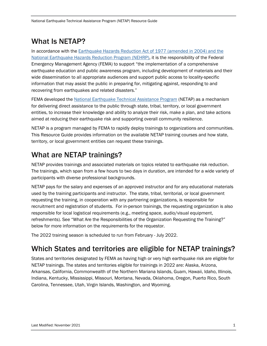# What Is NETAP?

In accordance with the [Earthquake Hazards Reduction Act of 1977 \(amended in 2004\) and the](https://www.fema.gov/sites/default/files/2020-08/fema_seismic-retrofit-family-dwellings-chimney_p-1100-2c.pdf)  [National Earthquake Hazards Reduction Program \(NEHRP\),](https://www.fema.gov/sites/default/files/2020-08/fema_seismic-retrofit-family-dwellings-chimney_p-1100-2c.pdf) it is the responsibility of the Federal Emergency Management Agency (FEMA) to support "the implementation of a comprehensive earthquake education and public awareness program, including development of materials and their wide dissemination to all appropriate audiences and support public access to locality-specific information that may assist the public in preparing for, mitigating against, responding to and recovering from earthquakes and related disasters."

FEMA developed the [National Earthquake Technical Assistance Program](https://www.fema.gov/sites/default/files/2020-07/fema_earthquakes_p-1000-safer-stronger-smarter-a-guide-to-improving-school-natural-hazard-safety_aug2017.pdf) (NETAP) as a mechanism for delivering direct assistance to the public through state, tribal, territory, or local government entities, to increase their knowledge and ability to analyze their risk, make a plan, and take actions aimed at reducing their earthquake risk and supporting overall community resilience.

NETAP is a program managed by FEMA to rapidly deploy trainings to organizations and communities. This Resource Guide provides information on the available NETAP training courses and how state, territory, or local government entities can request these trainings.

# What are NETAP trainings?

NETAP provides trainings and associated materials on topics related to earthquake risk reduction. The trainings, which span from a few hours to two days in duration, are intended for a wide variety of participants with diverse professional backgrounds.

NETAP pays for the salary and expenses of an approved instructor and for any educational materials used by the training participants and instructor. The state, tribal, territorial, or local government requesting the training, in cooperation with any partnering organizations, is responsible for recruitment and registration of students. For in-person trainings, the requesting organization is also responsible for local logistical requirements (e.g., meeting space, audio/visual equipment, refreshments). See "What Are the Responsibilities of the Organization Requesting the Training?" below for more information on the requirements for the requestor.

The 2022 training season is scheduled to run from February - July 2022.

# Which States and territories are eligible for NETAP trainings?

States and territories designated by FEMA as having high or very high earthquake risk are eligible for NETAP trainings. The states and territories eligible for trainings in 2022 are: Alaska, Arizona, Arkansas, California, Commonwealth of the Northern Mariana Islands, Guam, Hawaii, Idaho, Illinois, Indiana, Kentucky, Mississippi, Missouri, Montana, Nevada, Oklahoma, Oregon, Puerto Rico, South Carolina, Tennessee, Utah, Virgin Islands, Washington, and Wyoming.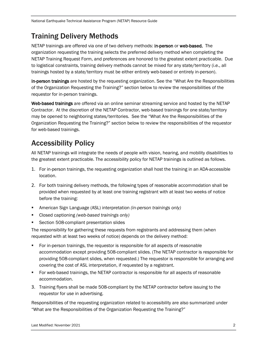# Training Delivery Methods

NETAP trainings are offered via one of two delivery methods: in-person or web-based. The organization requesting the training selects the preferred delivery method when completing the NETAP Training Request Form, and preferences are honored to the greatest extent practicable. Due to logistical constraints, training delivery methods cannot be mixed for any state/territory (i.e., all trainings hosted by a state/territory must be either entirely web-based or entirely in-person).

In-person trainings are hosted by the requesting organization. See the "What Are the Responsibilities" of the Organization Requesting the Training?" section below to review the responsibilities of the requestor for in-person trainings.

Web-based trainings are offered via an online seminar streaming service and hosted by the NETAP Contractor. At the discretion of the NETAP Contractor, web-based trainings for one state/territory may be opened to neighboring states/territories. See the "What Are the Responsibilities of the Organization Requesting the Training?" section below to review the responsibilities of the requestor for web-based trainings.

# Accessibility Policy

All NETAP trainings will integrate the needs of people with vision, hearing, and mobility disabilities to the greatest extent practicable. The accessibility policy for NETAP trainings is outlined as follows.

- 1. For in-person trainings, the requesting organization shall host the training in an ADA-accessible location.
- 2. For both training delivery methods, the following types of reasonable accommodation shall be provided when requested by at least one training registrant with at least two weeks of notice before the training:
- American Sign Language (ASL) interpretation *(in-person trainings only)*
- Closed captioning *(web-based trainings only)*
- **Section 508-compliant presentation slides**

The responsibility for gathering these requests from registrants and addressing them (when requested with at least two weeks of notice) depends on the delivery method:

- For in-person trainings, the requestor is responsible for all aspects of reasonable accommodation except providing 508-compliant slides. (The NETAP contractor is responsible for providing 508-compliant slides, when requested.) The requestor is responsible for arranging and covering the cost of ASL interpretation, if requested by a registrant.
- For web-based trainings, the NETAP contractor is responsible for all aspects of reasonable accommodation.
- 3. Training flyers shall be made 508-compliant by the NETAP contractor before issuing to the requestor for use in advertising.

Responsibilities of the requesting organization related to accessibility are also summarized under "What are the Responsibilities of the Organization Requesting the Training?"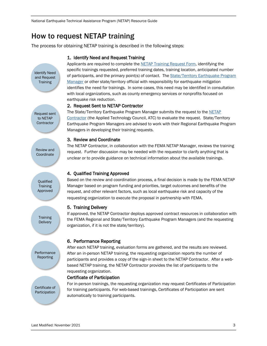National Earthquake Technical Assistance Program (NETAP) Resource Guide

# How to request NETAP training

The process for obtaining NETAP training is described in the following steps:

## 1. Identify Need and Request Training

Applicants are required to complete the [NETAP Training Request Form,](https://www.fema.gov/sites/default/files/documents/fema_earthquakes_repair-of-earthquake-damaged-masonry-fireplace-chimneys-fema-p-1024-ra1.pdf) identifying the specific trainings requested, preferred training dates, training location, anticipated number of participants, and the primary point(s) of contact. Th[e State/Territory Earthquake Program](https://www.fema.gov/sites/default/files/2020-08/fema_earthquake_incremental-seismic-rehabilitation-of-hospital-buildings-providing-protection-to-people-and-buildings-fema-p-396.zip)  [Manager](https://www.fema.gov/sites/default/files/2020-08/fema_earthquake_incremental-seismic-rehabilitation-of-hospital-buildings-providing-protection-to-people-and-buildings-fema-p-396.zip) or other state/territory official with responsibility for earthquake mitigation identifies the need for trainings. In some cases, this need may be identified in consultation with local organizations, such as county emergency services or nonprofits focused on earthquake risk reduction.

#### 2. Request Sent to NETAP Contractor

The State/Territory Earthquake Program Manager submits the request to the [NETAP](https://www.fema.gov/emergency-managers/risk-management/earthquake/nehrp)  [Contractor](https://www.fema.gov/emergency-managers/risk-management/earthquake/nehrp) (the Applied Technology Council, ATC) to evaluate the request. State/Territory Earthquake Program Managers are advised to work with their Regional Earthquake Program Managers in developing their training requests.

#### 3. Review and Coordinate

Review and **Coordinate** 

Identify Need and Request **Training** 

Request sent to NETAP **Contractor** 

> **Oualified Training** Approved

**Training Delivery** 

**Performance** Reporting

Certificate of Participation The NETAP Contractor, in collaboration with the FEMA NETAP Manager, reviews the training request. Further discussion may be needed with the requestor to clarify anything that is unclear or to provide guidance on technical information about the available trainings.

## 4. Qualified Training Approved

Based on the review and coordination process, a final decision is made by the FEMA NETAP Manager based on program funding and priorities, target outcomes and benefits of the request, and other relevant factors, such as local earthquake risk and capacity of the requesting organization to execute the proposal in partnership with FEMA.

#### 5. Training Delivery

If approved, the NETAP Contractor deploys approved contract resources in collaboration with the FEMA Regional and State/Territory Earthquake Program Managers (and the requesting organization, if it is not the state/territory).

#### 6. Performance Reporting

After each NETAP training, evaluation forms are gathered, and the results are reviewed. After an in-person NETAP training, the requesting organization reports the number of participants and provides a copy of the sign-in sheet to the NETAP Contractor. After a webbased NETAP training, the NETAP Contractor provides the list of participants to the requesting organization.

#### Certificate of Participation

For in-person trainings, the requesting organization may request Certificates of Participation for training participants. For web-based trainings, Certificates of Participation are sent automatically to training participants.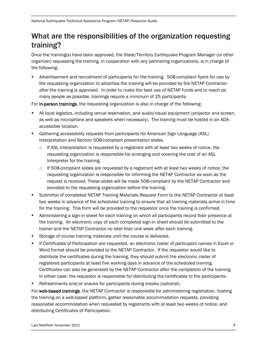# What are the responsibilities of the organization requesting training?

Once the training(s) have been approved, the State/Territory Earthquake Program Manager (or other organizer) requesting the training, in cooperation with any partnering organizations, is in charge of the following:

 Advertisement and recruitment of participants for the training. 508-compliant flyers for use by the requesting organization to advertise the training will be provided by the NETAP Contractor after the training is approved. In order to make the best use of NETAP funds and to reach as many people as possible, trainings require a minimum of 25 participants.

For in-person trainings, the requesting organization is also in charge of the following:

- All local logistics, including venue reservation, and audio/visual equipment (projector and screen, as well as microphone and speakers when necessary). The training must be hosted in an ADAaccessible location.
- Gathering accessibility requests from participants for American Sign Language (ASL) Interpretation and Section 508-compliant presentation slides.
	- $\circ$  If ASL interpretation is requested by a registrant with at least two weeks of notice, the requesting organization is responsible for arranging and covering the cost of an ASL Interpreter for the training.
	- $\circ$  If 508-compliant slides are requested by a registrant with at least two weeks of notice, the requesting organization is responsible for informing the NETAP Contractor as soon as the request is received. These slides will be made 508-compliant by the NETAP Contractor and provided to the requesting organization before the training.
- Submittal of completed NETAP Training Materials Request Form to the NETAP Contractor at least two weeks in advance of the scheduled training to ensure that all training materials arrive in time for the training. This form will be provided to the requestor once the training is confirmed.
- Administering a sign-in sheet for each training on which all participants record their presence at the training. An electronic copy of each completed sign-in sheet should be submitted to the trainer and the NETAP Contractor no later than one week after each training.
- Storage of course training materials until the course is delivered.
- If Certificates of Participation are requested, an electronic roster of participant names in Excel or Word format should be provided to the NETAP Contractor. If the requestor would like to distribute the certificates during the training, they should submit the electronic roster of registered participants at least five working days in advance of the scheduled training. Certificates can also be generated by the NETAP Contractor after the completion of the training. In either case, the requestor is responsible for distributing the certificates to the participants.
- Refreshments and/or snacks for participants during breaks (optional).

For web-based trainings, the NETAP Contractor is responsible for administering registration, hosting the training on a web-based platform, gather reasonable accommodation requests, providing reasonable accommodation when requested by registrants with at least two weeks of notice, and distributing Certificates of Participation.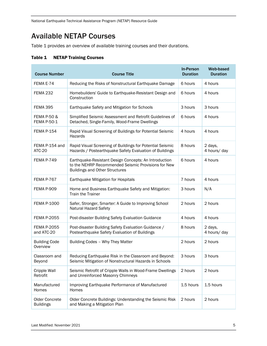National Earthquake Technical Assistance Program (NETAP) Resource Guide

# Available NETAP Courses

Table 1 provides an overview of available training courses and their durations.

#### Table 1 NETAP Training Courses

| <b>Course Number</b>               | <b>Course Title</b>                                                                                                                                   | <b>In-Person</b><br><b>Duration</b> | <b>Web-based</b><br><b>Duration</b> |
|------------------------------------|-------------------------------------------------------------------------------------------------------------------------------------------------------|-------------------------------------|-------------------------------------|
| FEMA E-74                          | Reducing the Risks of Nonstructural Earthquake Damage                                                                                                 | 6 hours                             | 4 hours                             |
| <b>FEMA 232</b>                    | Homebuilders' Guide to Earthquake-Resistant Design and<br>Construction                                                                                | 6 hours                             | 4 hours                             |
| <b>FEMA 395</b>                    | Earthquake Safety and Mitigation for Schools                                                                                                          | 3 hours                             | 3 hours                             |
| FEMA P-50 &<br><b>FEMA P-50-1</b>  | Simplified Seismic Assessment and Retrofit Guidelines of<br>Detached, Single-Family, Wood-Frame Dwellings                                             | 6 hours                             | 4 hours                             |
| <b>FEMA P-154</b>                  | Rapid Visual Screening of Buildings for Potential Seismic<br>Hazards                                                                                  | 4 hours                             | 4 hours                             |
| FEMA P-154 and<br><b>ATC-20</b>    | Rapid Visual Screening of Buildings for Potential Seismic<br>Hazards / Postearthquake Safety Evaluation of Buildings                                  | 8 hours                             | 2 days,<br>4 hours/ day             |
| <b>FEMA P-749</b>                  | Earthquake-Resistant Design Concepts: An Introduction<br>to the NEHRP Recommended Seismic Provisions for New<br><b>Buildings and Other Structures</b> | 6 hours                             | 4 hours                             |
| FEMA P-767                         | Earthquake Mitigation for Hospitals                                                                                                                   | 7 hours                             | 4 hours                             |
| <b>FEMA P-909</b>                  | Home and Business Earthquake Safety and Mitigation:<br><b>Train the Trainer</b>                                                                       | 3 hours                             | N/A                                 |
| <b>FEMA P-1000</b>                 | Safer, Stronger, Smarter: A Guide to Improving School<br>Natural Hazard Safety                                                                        | 2 hours                             | 2 hours                             |
| <b>FEMA P-2055</b>                 | Post-disaster Building Safety Evaluation Guidance                                                                                                     | 4 hours                             | 4 hours                             |
| <b>FEMA P-2055</b><br>and ATC-20   | Post-disaster Building Safety Evaluation Guidance /<br>Postearthquake Safety Evaluation of Buildings                                                  | 8 hours                             | 2 days,<br>4 hours/ day             |
| <b>Building Code</b><br>Overview   | Building Codes - Why They Matter                                                                                                                      | 2 hours                             | 2 hours                             |
| Classroom and<br>Beyond            | Reducing Earthquake Risk in the Classroom and Beyond:<br>Seismic Mitigation of Nonstructural Hazards in Schools                                       | 3 hours                             | 3 hours                             |
| <b>Cripple Wall</b><br>Retrofit    | Seismic Retrofit of Cripple Walls in Wood-Frame Dwellings<br>and Unreinforced Masonry Chimneys                                                        | 2 hours                             | 2 hours                             |
| Manufactured<br>Homes              | Improving Earthquake Performance of Manufactured<br>Homes                                                                                             | 1.5 hours                           | 1.5 hours                           |
| Older Concrete<br><b>Buildings</b> | Older Concrete Buildings: Understanding the Seismic Risk<br>and Making a Mitigation Plan                                                              | 2 hours                             | 2 hours                             |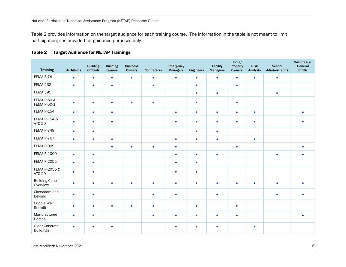Table 2 provides information on the target audience for each training course. The information in the table is not meant to limit participation; it is provided for guidance purposes only.

| <b>Training</b>                    | <b>Architects</b> | <b>Building</b><br><b>Officials</b> | <b>Building</b><br><b>Owners</b> | <b>Business</b><br>Owners | <b>Contractors</b> | Emergency<br><b>Managers</b> | <b>Engineers</b> | <b>Facility</b><br><b>Managers</b> | Home/<br>Property<br><b>Owners</b> | <b>Risk</b><br><b>Analysts</b> | <b>School</b><br>Administrators | Volunteers/<br>General<br><b>Public</b> |
|------------------------------------|-------------------|-------------------------------------|----------------------------------|---------------------------|--------------------|------------------------------|------------------|------------------------------------|------------------------------------|--------------------------------|---------------------------------|-----------------------------------------|
| FEMA E-74                          | $\bullet$         | $\bullet$                           | $\bullet$                        | $\bullet$                 | $\bullet$          | $\bullet$                    | $\bullet$        | $\bullet$                          | $\bullet$                          | $\bullet$                      | $\bullet$                       |                                         |
| <b>FEMA 232</b>                    | $\bullet$         | $\bullet$                           | $\bullet$                        |                           | $\bullet$          |                              | $\bullet$        |                                    | $\bullet$                          |                                |                                 |                                         |
| <b>FEMA 395</b>                    |                   |                                     |                                  |                           |                    |                              | $\bullet$        | $\bullet$                          |                                    |                                | $\bullet$                       |                                         |
| FEMA P-50 &<br><b>FEMA P-50-1</b>  | $\bullet$         | $\bullet$                           | $\bullet$                        | $\bullet$                 | $\bullet$          |                              | $\bullet$        |                                    | $\bullet$                          |                                |                                 |                                         |
| <b>FEMA P-154</b>                  | $\bullet$         | $\bullet$                           | $\bullet$                        |                           |                    | $\bullet$                    | $\bullet$        | $\bullet$                          | $\bullet$                          | $\bullet$                      |                                 |                                         |
| FEMA P-154 &<br>ATC-20             | $\bullet$         | $\bullet$                           | $\bullet$                        |                           |                    | $\bullet$                    | $\bullet$        | $\bullet$                          | $\bullet$                          | $\bullet$                      |                                 |                                         |
| <b>FEMA P-749</b>                  | $\bullet$         | $\bullet$                           |                                  |                           |                    |                              | $\bullet$        | $\bullet$                          |                                    |                                |                                 |                                         |
| FEMA P-767                         | $\bullet$         | $\bullet$                           | $\bullet$                        |                           |                    | $\bullet$                    | $\bullet$        | $\bullet$                          |                                    | $\bullet$                      |                                 |                                         |
| FEMA P-909                         |                   |                                     | $\bullet$                        | $\bullet$                 | $\bullet$          | $\bullet$                    |                  |                                    | $\bullet$                          |                                |                                 |                                         |
| <b>FEMA P-1000</b>                 | $\bullet$         | $\bullet$                           |                                  |                           |                    | $\bullet$                    | $\bullet$        | $\bullet$                          |                                    |                                | $\bullet$                       |                                         |
| <b>FEMA P-2055</b>                 | $\bullet$         | $\bullet$                           |                                  |                           |                    | $\bullet$                    | $\bullet$        |                                    |                                    |                                |                                 |                                         |
| FEMA P-2055 &<br>ATC-20            | $\bullet$         | $\bullet$                           |                                  |                           |                    | ۰                            | $\bullet$        |                                    |                                    |                                |                                 |                                         |
| <b>Building Code</b><br>Overview   | $\bullet$         | $\bullet$                           | $\bullet$                        | $\bullet$                 | $\bullet$          | $\bullet$                    | $\bullet$        | $\bullet$                          | $\bullet$                          | ٠                              | $\bullet$                       |                                         |
| Classroom and<br>Beyond            | $\bullet$         | $\bullet$                           |                                  |                           |                    |                              |                  | $\bullet$                          |                                    |                                |                                 |                                         |
| Cripple Wall<br>Retrofit           | $\bullet$         | $\bullet$                           | ٠                                | $\bullet$                 | $\bullet$          |                              | $\blacksquare$   |                                    | $\bullet$                          |                                |                                 |                                         |
| Manufactured<br>Homes              | $\bullet$         | $\bullet$                           |                                  |                           | $\bullet$          | $\bullet$                    | $\bullet$        | $\bullet$                          | $\bullet$                          |                                |                                 |                                         |
| Older Concrete<br><b>Buildings</b> |                   |                                     | ٠                                |                           |                    |                              |                  | ٠                                  |                                    | ۰                              |                                 |                                         |

## Table 2 Target Audience for NETAP Trainings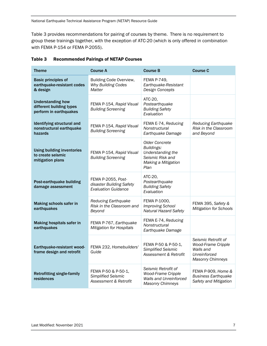Table 3 provides recommendations for pairing of courses by theme. There is no requirement to group these trainings together, with the exception of ATC-20 (which is only offered in combination with FEMA P-154 or FEMA P-2055).

| Theme                                                                          | <b>Course A</b>                                                              | <b>Course B</b>                                                                                              | <b>Course C</b>                                                                                          |
|--------------------------------------------------------------------------------|------------------------------------------------------------------------------|--------------------------------------------------------------------------------------------------------------|----------------------------------------------------------------------------------------------------------|
| <b>Basic principles of</b><br>earthquake-resistant codes<br>& design           | Building Code Overview,<br>Why Building Codes<br>Matter                      | <b>FEMA P-749,</b><br>Earthquake-Resistant<br>Design Concepts                                                |                                                                                                          |
| <b>Understanding how</b><br>different building types<br>perform in earthquakes | FEMA P-154, Rapid Visual<br><b>Building Screening</b>                        | ATC-20,<br>Postearthquake<br><b>Building Safety</b><br>Evaluation                                            |                                                                                                          |
| Identifying structural and<br>nonstructural earthquake<br>hazards              | FEMA P-154, Rapid Visual<br><b>Building Screening</b>                        | FEMA E-74, Reducing<br>Nonstructural<br>Earthquake Damage                                                    | <b>Reducing Earthquake</b><br>Risk in the Classroom<br>and Beyond                                        |
| <b>Using building inventories</b><br>to create seismic<br>mitigation plans     | FEMA P-154, Rapid Visual<br><b>Building Screening</b>                        | <b>Older Concrete</b><br>Buildings:<br>Understanding the<br>Seismic Risk and<br>Making a Mitigation<br>Plan  |                                                                                                          |
| Post-earthquake building<br>damage assessment                                  | FEMA P-2055, Post-<br>disaster Building Safety<br><b>Evaluation Guidance</b> | ATC-20,<br>Postearthquake<br><b>Building Safety</b><br>Evaluation                                            |                                                                                                          |
| Making schools safer in<br>earthquakes                                         | <b>Reducing Earthquake</b><br>Risk in the Classroom and<br>Beyond            | FEMA P-1000,<br><b>Improving School</b><br><b>Natural Hazard Safety</b>                                      | FEMA 395, Safety &<br><b>Mitigation for Schools</b>                                                      |
| <b>Making hospitals safer in</b><br>earthquakes                                | FEMA P-767, Earthquake<br>Mitigation for Hospitals                           | FEMA E-74, Reducing<br>Nonstructural<br>Earthquake Damage                                                    |                                                                                                          |
| Earthquake-resistant wood-<br>frame design and retrofit                        | FEMA 232, Homebuilders'<br>Guide                                             | FEMA P-50 & P-50-1,<br>Simplified Seismic<br>Assessment & Retrofit                                           | Seismic Retrofit of<br><b>Wood-Frame Cripple</b><br>Walls and<br>Unreinforced<br><b>Masonry Chimneys</b> |
| <b>Retrofitting single-family</b><br>residences                                | FEMA P-50 & P-50-1,<br>Simplified Seismic<br>Assessment & Retrofit           | Seismic Retrofit of<br><b>Wood-Frame Cripple</b><br><b>Walls and Unreinforced</b><br><b>Masonry Chimneys</b> | FEMA P-909, Home &<br><b>Business Earthquake</b><br>Safety and Mitigation                                |

#### Table 3 Recommended Pairings of NETAP Courses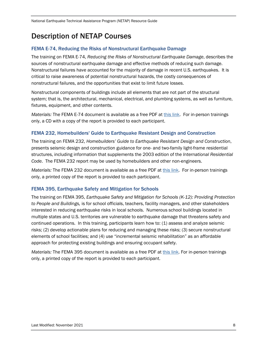# Description of NETAP Courses

# FEMA E-74, Reducing the Risks of Nonstructural Earthquake Damage

The training on FEMA E-74, *Reducing the Risks of Nonstructural Earthquake Damage*, describes the sources of nonstructural earthquake damage and effective methods of reducing such damage. Nonstructural failures have accounted for the majority of damage in recent U.S. earthquakes. It is critical to raise awareness of potential nonstructural hazards, the costly consequences of nonstructural failures, and the opportunities that exist to limit future losses.

Nonstructural components of buildings include all elements that are not part of the structural system; that is, the architectural, mechanical, electrical, and plumbing systems, as well as furniture, fixtures, equipment, and other contents.

*Materials:* The FEMA E-74 document is available as a free PDF at [this link.](https://www.fema.gov/sites/default/files/2020-08/fema_seismic-eval-older-concrete-buildings_p-2018.pdf) For in-person trainings only, a CD with a copy of the report is provided to each participant.

# FEMA 232, Homebuilders' Guide to Earthquake Resistant Design and Construction

The training on FEMA 232, *Homebuilders' Guide to Earthquake Resistant Design and Construction*, presents seismic design and construction guidance for one- and two-family light-frame residential structures, including information that supplements the 2003 edition of the *International Residential Code*. The FEMA 232 report may be used by homebuilders and other non-engineers.

*Materials:* The FEMA 232 document is available as a free PDF at [this link.](https://www.fema.gov/node/homebuilders-guide-earthquake-resistant-design-and-construction) For in-person trainings only, a printed copy of the report is provided to each participant.

## FEMA 395, Earthquake Safety and Mitigation for Schools

The training on FEMA 395, *Earthquake Safety and Mitigation for Schools (K-12): Providing Protection to People and Buildings,* is for school officials, teachers, facility managers, and other stakeholders interested in reducing earthquake risks in local schools. Numerous school buildings located in multiple states and U.S. territories are vulnerable to earthquake damage that threatens safety and continued operations. In this training, participants learn how to: (1) assess and analyze seismic risks; (2) develop actionable plans for reducing and managing these risks; (3) secure nonstructural elements of school facilities; and (4) use "incremental seismic rehabilitation" as an affordable approach for protecting existing buildings and ensuring occupant safety.

*Materials:* The FEMA 395 document is available as a free PDF at [this link.](https://www.fema.gov/emergency-managers/risk-management/earthquake/training/netap) For in-person trainings only, a printed copy of the report is provided to each participant.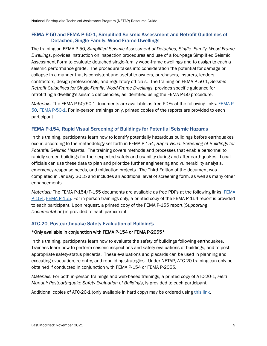# FEMA P-50 and FEMA P-50-1, Simplified Seismic Assessment and Retrofit Guidelines of Detached, Single-Family, Wood-Frame Dwellings

The training on FEMA P-50, *Simplified Seismic Assessment of Detached, Single- Family, Wood-Frame Dwellings*, provides instruction on inspection procedures and use of a four-page Simplified Seismic Assessment Form to evaluate detached single-family wood-frame dwellings and to assign to each a seismic performance grade. The procedure takes into consideration the potential for damage or collapse in a manner that is consistent and useful to owners, purchasers, insurers, lenders, contractors, design professionals, and regulatory officials. The training on FEMA P-50-1, *Seismic Retrofit Guidelines for Single-Family, Wood-Frame Dwellings,* provides specific guidance for retrofitting a dwelling's seismic deficiencies, as identified using the FEMA P-50 procedure.

*Materials:* The FEMA P-50/50-1 documents are available as free PDFs at the following links: [FEMA P-](https://www.fema.gov/sites/default/files/documents/fema_earthquakes_earthquake-strengthening-of-cripple-walls-in-wood-frame-dwellings-fema-p-1024-ra2.pdf)[50,](https://www.fema.gov/sites/default/files/documents/fema_earthquakes_earthquake-strengthening-of-cripple-walls-in-wood-frame-dwellings-fema-p-1024-ra2.pdf) [FEMA P-50-1.](https://www.fema.gov/emergency-managers/risk-management/earthquake/contacts) For in-person trainings only, printed copies of the reports are provided to each participant.

## FEMA P-154, Rapid Visual Screening of Buildings for Potential Seismic Hazards

In this training, participants learn how to identify potentially hazardous buildings before earthquakes occur, according to the methodology set forth in FEMA P-154, *Rapid Visual Screening of Buildings for Potential Seismic Hazards*. The training covers methods and processes that enable personnel to rapidly screen buildings for their expected safety and usability during and after earthquakes. Local officials can use these data to plan and prioritize further engineering and vulnerability analysis, emergency-response needs, and mitigation projects. The Third Edition of the document was completed in January 2015 and includes an additional level of screening form, as well as many other enhancements.

*Materials:* The FEMA P-154/P-155 documents are available as free PDFs at the following links: [FEMA](https://www.atcouncil.org/)  [P-154,](https://www.atcouncil.org/) [FEMA P-155.](https://www.fema.gov/sites/default/files/2020-07/fema_earthquakes_rapid-visual-screening-of-buildings-for-potential-seismic-hazards-supporting-documentation-third-edition-fema-p-155.pdf) For in-person trainings only, a printed copy of the FEMA P-154 report is provided to each participant. Upon request, a printed copy of the FEMA P-155 report (*Supporting Documentation*) is provided to each participant.

## ATC-20, Postearthquake Safety Evaluation of Buildings

#### \*Only available in conjunction with FEMA P-154 or FEMA P-2055\*

In this training, participants learn how to evaluate the safety of buildings following earthquakes. Trainees learn how to perform seismic inspections and safety evaluations of buildings, and to post appropriate safety-status placards. These evaluations and placards can be used in planning and executing evacuation, re-entry, and rebuilding strategies. Under NETAP, ATC-20 training can only be obtained if conducted in conjunction with FEMA P-154 or FEMA P-2055.

*Materials:* For both in-person trainings and web-based trainings, a printed copy of ATC-20-1, *Field Manual: Postearthquake Safety Evaluation of Buildings*, is provided to each participant.

Additional copies of ATC-20-1 (only available in hard copy) may be ordered using [this link.](https://www.fema.gov/pdf/plan/prevent/rms/395/fema395.pdf?dispatch=products.view&product_id=32)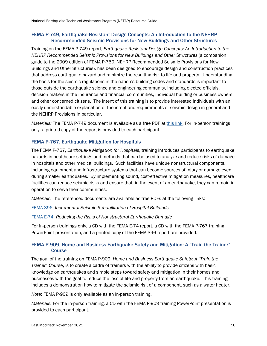## FEMA P-749, Earthquake-Resistant Design Concepts: An Introduction to the NEHRP Recommended Seismic Provisions for New Buildings and Other Structures

Training on the FEMA P-749 report, *Earthquake-Resistant Design Concepts: An Introduction to the NEHRP Recommended Seismic Provisions for New Buildings and Other Structures* (a companion guide to the 2009 edition of FEMA P-750, NEHRP Recommended Seismic Provisions for New Buildings and Other Structures), has been designed to encourage design and construction practices that address earthquake hazard and minimize the resulting risk to life and property. Understanding the basis for the seismic regulations in the nation's building codes and standards is important to those outside the earthquake science and engineering community, including elected officials, decision makers in the insurance and financial communities, individual building or business owners, and other concerned citizens. The intent of this training is to provide interested individuals with an easily understandable explanation of the intent and requirements of seismic design in general and the NEHRP Provisions in particular.

*Materials:* The FEMA P-749 document is available as a free PDF at [this link.](https://www.atcouncil.org/images/files/FEMA_P-50.pdf) For in-person trainings only, a printed copy of the report is provided to each participant.

# FEMA P-767, Earthquake Mitigation for Hospitals

The FEMA P-767, *Earthquake Mitigation for Hospitals*, training introduces participants to earthquake hazards in healthcare settings and methods that can be used to analyze and reduce risks of damage in hospitals and other medical buildings. Such facilities have unique nonstructural components, including equipment and infrastructure systems that can become sources of injury or damage even during smaller earthquakes. By implementing sound, cost-effective mitigation measures, healthcare facilities can reduce seismic risks and ensure that, in the event of an earthquake, they can remain in operation to serve their communities.

*Materials:* The referenced documents are available as free PDFs at the following links:

[FEMA 396,](https://www.fema.gov/sites/default/files/2020-07/fema_earthquakes_reducing-the-risks-of-nonstructural-earthquake-damage-a-practical-guide-fema-e-74.pdf) *Incremental Seismic Rehabilitation of Hospital Buildings*

#### [FEMA E-74,](http://store.atcouncil.org/index.php) *Reducing the Risks of Nonstructural Earthquake Damage*

For in-person trainings only, a CD with the FEMA E-74 report, a CD with the FEMA P-767 training PowerPoint presentation, and a printed copy of the FEMA 396 report are provided.

## FEMA P-909, Home and Business Earthquake Safety and Mitigation: A "Train the Trainer" **Course**

The goal of the training on FEMA P-909, *Home and Business Earthquake Safety: A "Train the Trainer" Course*, is to create a cadre of trainers with the ability to provide citizens with basic knowledge on earthquakes and simple steps toward safety and mitigation in their homes and businesses with the goal to reduce the loss of life and property from an earthquake. This training includes a demonstration how to mitigate the seismic risk of a component, such as a water heater.

*Note*: FEMA P-909 is only available as an in-person training.

*Materials:* For the in-person training, a CD with the FEMA P-909 training PowerPoint presentation is provided to each participant.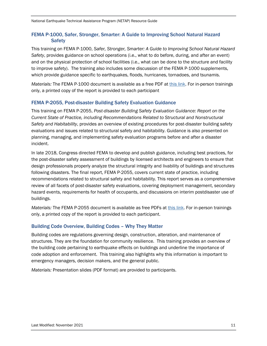# FEMA P-1000, Safer, Stronger, Smarter: A Guide to Improving School Natural Hazard **Safety**

This training on FEMA P-1000, *Safer, Stronger, Smarter: A Guide to Improving School Natural Hazard Safety*, provides guidance on school operations (i.e., what to do before, during, and after an event) and on the physical protection of school facilities (i.e., what can be done to the structure and facility to improve safety). The training also includes some discussion of the FEMA P-1000 supplements, which provide guidance specific to earthquakes, floods, hurricanes, tornadoes, and tsunamis.

*Materials:* The FEMA P-1000 document is available as a free PDF at [this link.](https://www.surveymonkey.com/r/Request-NETAP-2022) For in-person trainings only, a printed copy of the report is provided to each participant

## FEMA P-2055, Post-disaster Building Safety Evaluation Guidance

This training on FEMA P-2055, *Post-disaster Building Safety Evaluation Guidance: Report on the Current State of Practice, including Recommendations Related to Structural and Nonstructural Safety and Habitability*, provides an overview of existing procedures for post-disaster building safety evaluations and issues related to structural safety and habitability. Guidance is also presented on planning, managing, and implementing safety evaluation programs before and after a disaster incident.

In late 2018, Congress directed FEMA to develop and publish guidance, including best practices, for the post-disaster safety assessment of buildings by licensed architects and engineers to ensure that design professionals properly analyze the structural integrity and livability of buildings and structures following disasters. The final report, FEMA P-2055, covers current state of practice, including recommendations related to structural safety and habitability. This report serves as a comprehensive review of all facets of post-disaster safety evaluations, covering deployment management, secondary hazard events, requirements for health of occupants, and discussions on interim postdisaster use of buildings.

*Materials:* The FEMA P-2055 document is available as free PDFs at [this link.](https://www.atcouncil.org/images/files/FEMA_P-50-1.pdf) For in-person trainings only, a printed copy of the report is provided to each participant.

## Building Code Overview, Building Codes – Why They Matter

Building codes are regulations governing design, construction, alteration, and maintenance of structures. They are the foundation for community resilience. This training provides an overview of the building code pertaining to earthquake effects on buildings and underline the importance of code adoption and enforcement. This training also highlights why this information is important to emergency managers, decision makers, and the general public.

*Materials:* Presentation slides (PDF format) are provided to participants.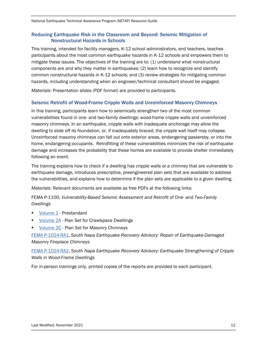# Reducing Earthquake Risk in the Classroom and Beyond: Seismic Mitigation of Nonstructural Hazards in Schools

This training, intended for facility managers, K-12 school administrators, and teachers, teaches participants about the most common earthquake hazards in K-12 schools and empowers them to mitigate these issues. The objectives of the training are to: (1) understand what nonstructural components are and why they matter in earthquakes; (2) learn how to recognize and identify common nonstructural hazards in K-12 schools; and (3) review strategies for mitigating common hazards, including understanding when an engineer/technical consultant should be engaged.

*Materials*: Presentation slides (PDF format) are provided to participants.

## Seismic Retrofit of Wood-Frame Cripple Walls and Unreinforced Masonry Chimneys

In this training, participants learn how to seismically strengthen two of the most common vulnerabilities found in one- and two-family dwellings: wood-frame cripple walls and unreinforced masonry chimneys. In an earthquake, cripple walls with inadequate anchorage may allow the dwelling to slide off its foundation, or, if inadequately braced, the cripple wall itself may collapse. Unreinforced masonry chimneys can fall out onto exterior areas, endangering passersby, or into the home, endangering occupants. Retrofitting of these vulnerabilities minimizes the risk of earthquake damage and increases the probability that these homes are available to provide shelter immediately following an event.

The training explains how to check if a dwelling has cripple walls or a chimney that are vulnerable to earthquake damage, introduces prescriptive, preengineered plan sets that are available to address the vulnerabilities, and explains how to determine if the plan sets are applicable to a given dwelling.

*Materials:* Relevant documents are available as free PDFs at the following links:

FEMA P-1100, *Vulnerability-Based Seismic Assessment and Retrofit of One- and Two-Family Dwellings* 

- [Volume 1](https://www.fema.gov/sites/default/files/2020-07/fema_earthquakes_rapid-visual-screening-of-buildings-for-potential-seismic-hazards-a-handbook-third-edition-fema-p-154.pdf)  Prestandard
- [Volume 2A](https://www.fema.gov/sites/default/files/2020-08/fema_seismic-retrofit-family-dwellings-crawlspace_p-1100-2a.pdf)  Plan Set for Crawlspace Dwellings
- [Volume 2C](https://www.fema.gov/sites/default/files/2020-07/fema_earthquakes_reducing-the-risks-of-nonstructural-earthquake-damage-a-practical-guide-fema-e-74.pdf)  Plan Set for Masonry Chimneys

[FEMA P-1024-RA1,](https://www.fema.gov/sites/default/files/2020-07/fema_earthquake-resistant-design-concepts_p-749.pdf) *South Napa Earthquake Recovery Advisory: Repair of Earthquake-Damaged Masonry Fireplace Chimneys*

[FEMA P-1024-RA2,](https://www.fema.gov/sites/default/files/2020-07/fema_p-2055_post-disaster_buildingsafety_evaluation_2019.pdf) *South Napa Earthquake Recovery Advisory: Earthquake Strengthening of Cripple Walls in Wood-Frame Dwellings*

For in-person trainings only, printed copies of the reports are provided to each participant.